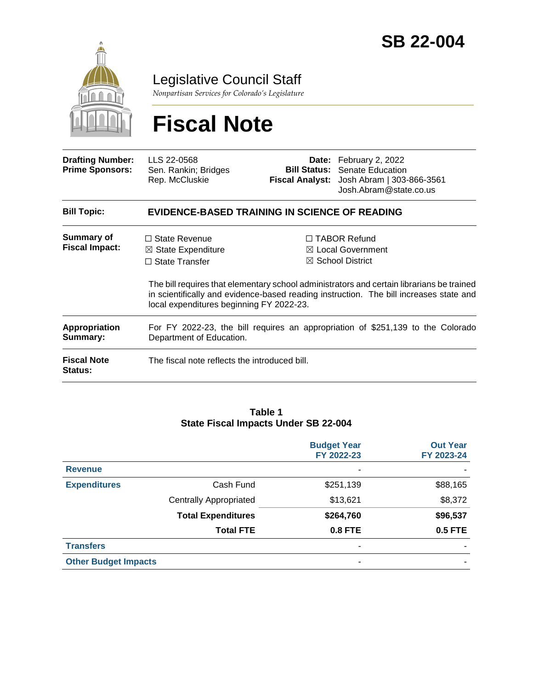

Legislative Council Staff

*Nonpartisan Services for Colorado's Legislature*

# **Fiscal Note**

| <b>Drafting Number:</b><br><b>Prime Sponsors:</b> | LLS 22-0568<br>Sen. Rankin; Bridges<br>Rep. McCluskie                                                                                                                                                                           |  | Date: February 2, 2022<br><b>Bill Status:</b> Senate Education<br>Fiscal Analyst: Josh Abram   303-866-3561<br>Josh.Abram@state.co.us |  |  |
|---------------------------------------------------|---------------------------------------------------------------------------------------------------------------------------------------------------------------------------------------------------------------------------------|--|---------------------------------------------------------------------------------------------------------------------------------------|--|--|
| <b>Bill Topic:</b>                                | EVIDENCE-BASED TRAINING IN SCIENCE OF READING                                                                                                                                                                                   |  |                                                                                                                                       |  |  |
| Summary of<br><b>Fiscal Impact:</b>               | $\Box$ State Revenue<br>$\boxtimes$ State Expenditure<br>$\Box$ State Transfer                                                                                                                                                  |  | $\Box$ TABOR Refund<br>$\boxtimes$ Local Government<br>$\boxtimes$ School District                                                    |  |  |
|                                                   | The bill requires that elementary school administrators and certain librarians be trained<br>in scientifically and evidence-based reading instruction. The bill increases state and<br>local expenditures beginning FY 2022-23. |  |                                                                                                                                       |  |  |
| <b>Appropriation</b><br>Summary:                  | For FY 2022-23, the bill requires an appropriation of \$251,139 to the Colorado<br>Department of Education.                                                                                                                     |  |                                                                                                                                       |  |  |
| <b>Fiscal Note</b><br>Status:                     | The fiscal note reflects the introduced bill.                                                                                                                                                                                   |  |                                                                                                                                       |  |  |

#### **Table 1 State Fiscal Impacts Under SB 22-004**

|                             |                               | <b>Budget Year</b><br>FY 2022-23 | <b>Out Year</b><br>FY 2023-24 |
|-----------------------------|-------------------------------|----------------------------------|-------------------------------|
| <b>Revenue</b>              |                               | ۰                                |                               |
| <b>Expenditures</b>         | Cash Fund                     | \$251,139                        | \$88,165                      |
|                             | <b>Centrally Appropriated</b> | \$13,621                         | \$8,372                       |
|                             | <b>Total Expenditures</b>     | \$264,760                        | \$96,537                      |
|                             | <b>Total FTE</b>              | 0.8 FTE                          | <b>0.5 FTE</b>                |
| <b>Transfers</b>            |                               | ۰                                |                               |
| <b>Other Budget Impacts</b> |                               | ۰                                |                               |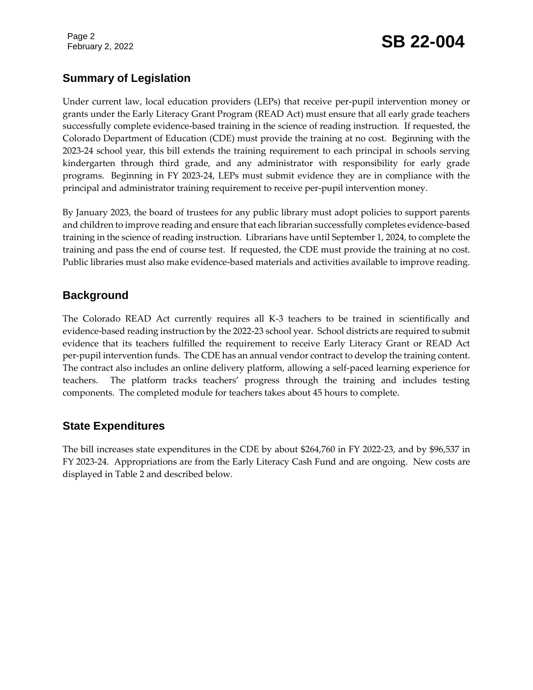Page 2

## February 2, 2022 **SB 22-004**

### **Summary of Legislation**

Under current law, local education providers (LEPs) that receive per-pupil intervention money or grants under the Early Literacy Grant Program (READ Act) must ensure that all early grade teachers successfully complete evidence-based training in the science of reading instruction. If requested, the Colorado Department of Education (CDE) must provide the training at no cost. Beginning with the 2023-24 school year, this bill extends the training requirement to each principal in schools serving kindergarten through third grade, and any administrator with responsibility for early grade programs. Beginning in FY 2023-24, LEPs must submit evidence they are in compliance with the principal and administrator training requirement to receive per-pupil intervention money.

By January 2023, the board of trustees for any public library must adopt policies to support parents and children to improve reading and ensure that each librarian successfully completes evidence-based training in the science of reading instruction. Librarians have until September 1, 2024, to complete the training and pass the end of course test. If requested, the CDE must provide the training at no cost. Public libraries must also make evidence-based materials and activities available to improve reading.

#### **Background**

The Colorado READ Act currently requires all K-3 teachers to be trained in scientifically and evidence-based reading instruction by the 2022-23 school year. School districts are required to submit evidence that its teachers fulfilled the requirement to receive Early Literacy Grant or READ Act per-pupil intervention funds. The CDE has an annual vendor contract to develop the training content. The contract also includes an online delivery platform, allowing a self-paced learning experience for teachers. The platform tracks teachers' progress through the training and includes testing components. The completed module for teachers takes about 45 hours to complete.

#### **State Expenditures**

The bill increases state expenditures in the CDE by about \$264,760 in FY 2022-23, and by \$96,537 in FY 2023-24. Appropriations are from the Early Literacy Cash Fund and are ongoing. New costs are displayed in Table 2 and described below.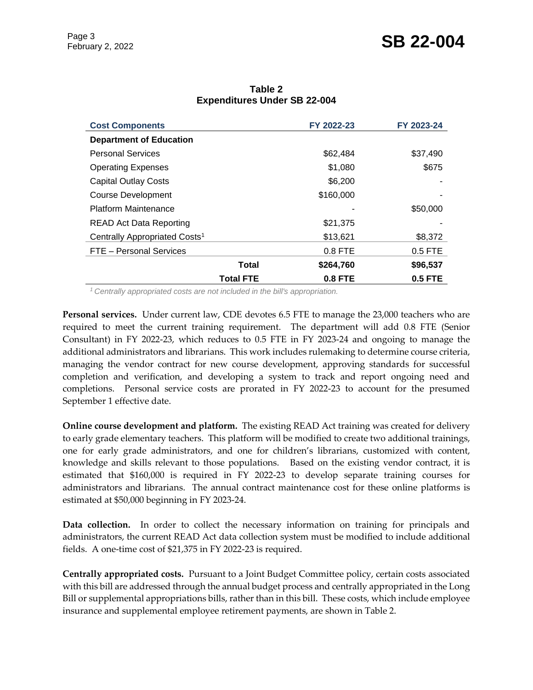| <b>Cost Components</b>                    | FY 2022-23     | FY 2023-24 |
|-------------------------------------------|----------------|------------|
| <b>Department of Education</b>            |                |            |
| <b>Personal Services</b>                  | \$62,484       | \$37,490   |
| <b>Operating Expenses</b>                 | \$1,080        | \$675      |
| <b>Capital Outlay Costs</b>               | \$6,200        |            |
| <b>Course Development</b>                 | \$160,000      |            |
| <b>Platform Maintenance</b>               |                | \$50,000   |
| READ Act Data Reporting                   | \$21,375       |            |
| Centrally Appropriated Costs <sup>1</sup> | \$13,621       | \$8,372    |
| FTE - Personal Services                   | $0.8$ FTE      | $0.5$ FTE  |
| Total                                     | \$264,760      | \$96,537   |
| <b>Total FTE</b>                          | <b>0.8 FTE</b> | $0.5$ FTE  |

**Table 2 Expenditures Under SB 22-004**

*<sup>1</sup>Centrally appropriated costs are not included in the bill's appropriation.*

**Personal services.** Under current law, CDE devotes 6.5 FTE to manage the 23,000 teachers who are required to meet the current training requirement. The department will add 0.8 FTE (Senior Consultant) in FY 2022-23, which reduces to 0.5 FTE in FY 2023-24 and ongoing to manage the additional administrators and librarians. This work includes rulemaking to determine course criteria, managing the vendor contract for new course development, approving standards for successful completion and verification, and developing a system to track and report ongoing need and completions. Personal service costs are prorated in FY 2022-23 to account for the presumed September 1 effective date.

**Online course development and platform.** The existing READ Act training was created for delivery to early grade elementary teachers. This platform will be modified to create two additional trainings, one for early grade administrators, and one for children's librarians, customized with content, knowledge and skills relevant to those populations. Based on the existing vendor contract, it is estimated that \$160,000 is required in FY 2022-23 to develop separate training courses for administrators and librarians. The annual contract maintenance cost for these online platforms is estimated at \$50,000 beginning in FY 2023-24.

**Data collection.** In order to collect the necessary information on training for principals and administrators, the current READ Act data collection system must be modified to include additional fields. A one-time cost of \$21,375 in FY 2022-23 is required.

**Centrally appropriated costs.** Pursuant to a Joint Budget Committee policy, certain costs associated with this bill are addressed through the annual budget process and centrally appropriated in the Long Bill or supplemental appropriations bills, rather than in this bill. These costs, which include employee insurance and supplemental employee retirement payments, are shown in Table 2.